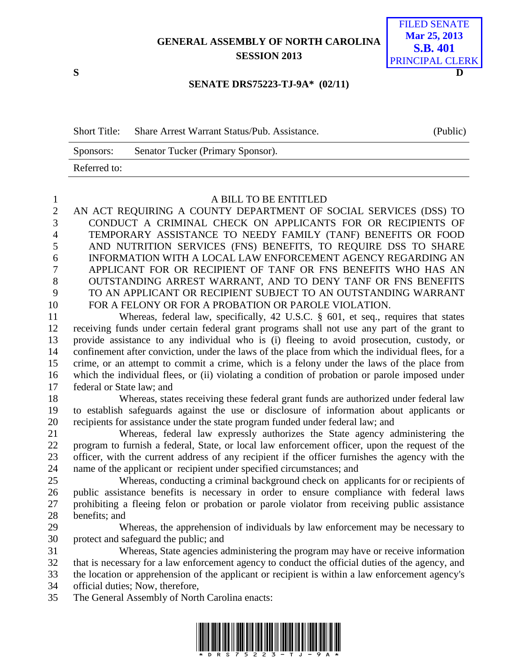## **GENERAL ASSEMBLY OF NORTH CAROLINA SESSION 2013**

## **S D** FILED SENATE **Mar 25, 2013 S.B. 401** PRINCIPAL CLERK

## **SENATE DRS75223-TJ-9A\* (02/11)**

| <b>Short Title:</b> | Share Arrest Warrant Status/Pub. Assistance. | (Public) |
|---------------------|----------------------------------------------|----------|
| Sponsors:           | Senator Tucker (Primary Sponsor).            |          |
| Referred to:        |                                              |          |

## A BILL TO BE ENTITLED

 AN ACT REQUIRING A COUNTY DEPARTMENT OF SOCIAL SERVICES (DSS) TO CONDUCT A CRIMINAL CHECK ON APPLICANTS FOR OR RECIPIENTS OF TEMPORARY ASSISTANCE TO NEEDY FAMILY (TANF) BENEFITS OR FOOD AND NUTRITION SERVICES (FNS) BENEFITS, TO REQUIRE DSS TO SHARE INFORMATION WITH A LOCAL LAW ENFORCEMENT AGENCY REGARDING AN APPLICANT FOR OR RECIPIENT OF TANF OR FNS BENEFITS WHO HAS AN OUTSTANDING ARREST WARRANT, AND TO DENY TANF OR FNS BENEFITS TO AN APPLICANT OR RECIPIENT SUBJECT TO AN OUTSTANDING WARRANT FOR A FELONY OR FOR A PROBATION OR PAROLE VIOLATION.

 Whereas, federal law, specifically, 42 U.S.C. § 601, et seq., requires that states receiving funds under certain federal grant programs shall not use any part of the grant to provide assistance to any individual who is (i) fleeing to avoid prosecution, custody, or confinement after conviction, under the laws of the place from which the individual flees, for a crime, or an attempt to commit a crime, which is a felony under the laws of the place from which the individual flees, or (ii) violating a condition of probation or parole imposed under federal or State law; and

 Whereas, states receiving these federal grant funds are authorized under federal law to establish safeguards against the use or disclosure of information about applicants or recipients for assistance under the state program funded under federal law; and

 Whereas, federal law expressly authorizes the State agency administering the program to furnish a federal, State, or local law enforcement officer, upon the request of the officer, with the current address of any recipient if the officer furnishes the agency with the name of the applicant or recipient under specified circumstances; and

 Whereas, conducting a criminal background check on applicants for or recipients of public assistance benefits is necessary in order to ensure compliance with federal laws prohibiting a fleeing felon or probation or parole violator from receiving public assistance benefits; and

 Whereas, the apprehension of individuals by law enforcement may be necessary to protect and safeguard the public; and

 Whereas, State agencies administering the program may have or receive information that is necessary for a law enforcement agency to conduct the official duties of the agency, and the location or apprehension of the applicant or recipient is within a law enforcement agency's official duties; Now, therefore,

The General Assembly of North Carolina enacts:

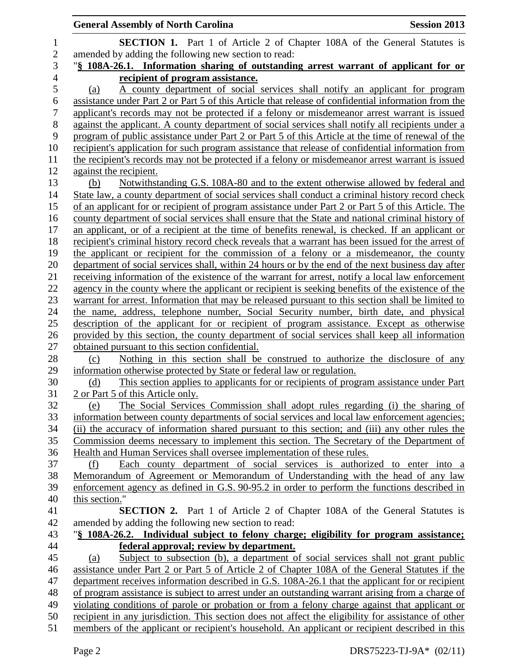|                  | <b>General Assembly of North Carolina</b><br><b>Session 2013</b>                                                                  |
|------------------|-----------------------------------------------------------------------------------------------------------------------------------|
| $\mathbf{1}$     | <b>SECTION 1.</b> Part 1 of Article 2 of Chapter 108A of the General Statutes is                                                  |
| $\overline{2}$   | amended by adding the following new section to read:                                                                              |
| 3                | "§ 108A-26.1. Information sharing of outstanding arrest warrant of applicant for or                                               |
| $\overline{4}$   | recipient of program assistance.                                                                                                  |
| 5                | A county department of social services shall notify an applicant for program<br>(a)                                               |
| $\boldsymbol{6}$ | assistance under Part 2 or Part 5 of this Article that release of confidential information from the                               |
| $\tau$           | applicant's records may not be protected if a felony or misdemeanor arrest warrant is issued                                      |
| $8\,$            | against the applicant. A county department of social services shall notify all recipients under a                                 |
| 9                | program of public assistance under Part 2 or Part 5 of this Article at the time of renewal of the                                 |
| 10               | recipient's application for such program assistance that release of confidential information from                                 |
| 11               | the recipient's records may not be protected if a felony or misdemeanor arrest warrant is issued                                  |
| 12               | against the recipient.                                                                                                            |
| 13               | Notwithstanding G.S. 108A-80 and to the extent otherwise allowed by federal and<br>(b)                                            |
| 14               | State law, a county department of social services shall conduct a criminal history record check                                   |
| 15               | of an applicant for or recipient of program assistance under Part 2 or Part 5 of this Article. The                                |
| 16               | county department of social services shall ensure that the State and national criminal history of                                 |
| 17               | an applicant, or of a recipient at the time of benefits renewal, is checked. If an applicant or                                   |
| 18               | recipient's criminal history record check reveals that a warrant has been issued for the arrest of                                |
| 19               | the applicant or recipient for the commission of a felony or a misdemeanor, the county                                            |
| 20               | department of social services shall, within 24 hours or by the end of the next business day after                                 |
| 21               | receiving information of the existence of the warrant for arrest, notify a local law enforcement                                  |
| 22               | agency in the county where the applicant or recipient is seeking benefits of the existence of the                                 |
| 23               | warrant for arrest. Information that may be released pursuant to this section shall be limited to                                 |
| 24               | the name, address, telephone number, Social Security number, birth date, and physical                                             |
| 25               | description of the applicant for or recipient of program assistance. Except as otherwise                                          |
| 26               | provided by this section, the county department of social services shall keep all information                                     |
| 27               | obtained pursuant to this section confidential.                                                                                   |
| 28               | Nothing in this section shall be construed to authorize the disclosure of any<br>(c)                                              |
| 29<br>30         | information otherwise protected by State or federal law or regulation.                                                            |
| 31               | This section applies to applicants for or recipients of program assistance under Part<br>(d)<br>2 or Part 5 of this Article only. |
| 32               | The Social Services Commission shall adopt rules regarding (i) the sharing of<br>(e)                                              |
| 33               | information between county departments of social services and local law enforcement agencies;                                     |
| 34               | (ii) the accuracy of information shared pursuant to this section; and (iii) any other rules the                                   |
| 35               | Commission deems necessary to implement this section. The Secretary of the Department of                                          |
| 36               | Health and Human Services shall oversee implementation of these rules.                                                            |
| 37               | Each county department of social services is authorized to enter into a<br>(f)                                                    |
| 38               | Memorandum of Agreement or Memorandum of Understanding with the head of any law                                                   |
| 39               | enforcement agency as defined in G.S. 90-95.2 in order to perform the functions described in                                      |
| 40               | this section."                                                                                                                    |
| 41               | <b>SECTION 2.</b> Part 1 of Article 2 of Chapter 108A of the General Statutes is                                                  |
| 42               | amended by adding the following new section to read:                                                                              |
| 43               | "\\$ 108A-26.2. Individual subject to felony charge; eligibility for program assistance;                                          |
| 44               | <u>federal approval; review by department.</u>                                                                                    |
| 45               | Subject to subsection (b), a department of social services shall not grant public<br>(a)                                          |
| 46               | assistance under Part 2 or Part 5 of Article 2 of Chapter 108A of the General Statutes if the                                     |
| 47               | department receives information described in G.S. 108A-26.1 that the applicant for or recipient                                   |
| 48               | of program assistance is subject to arrest under an outstanding warrant arising from a charge of                                  |
| 49               | violating conditions of parole or probation or from a felony charge against that applicant or                                     |
| 50               | recipient in any jurisdiction. This section does not affect the eligibility for assistance of other                               |
| 51               | members of the applicant or recipient's household. An applicant or recipient described in this                                    |